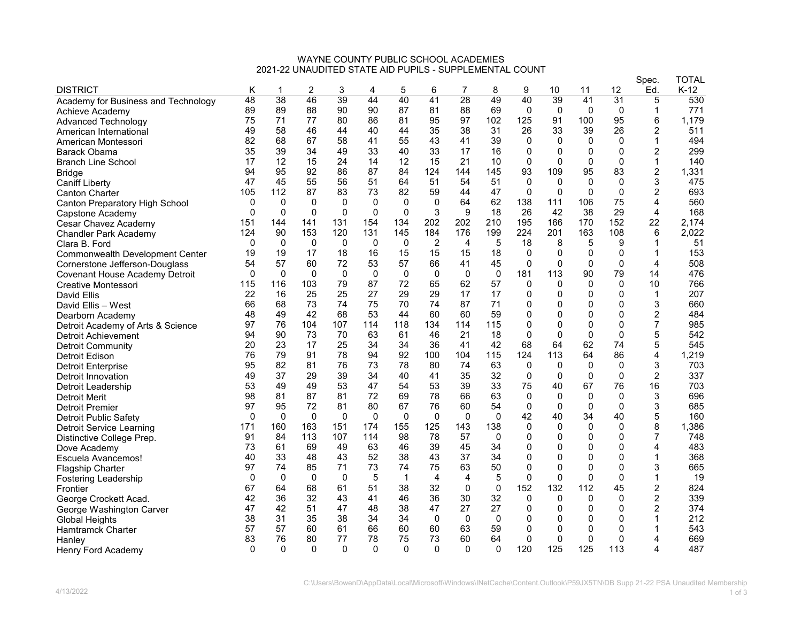## WAYNE COUNTY PUBLIC SCHOOL ACADEMIES 2021-22 UNAUDITED STATE AID PUPILS - SUPPLEMENTAL COUNT

|                                                   |              |              |          |              |             |             |              |              |              |              |              |              |              | Spec.            | <b>TOTAL</b> |
|---------------------------------------------------|--------------|--------------|----------|--------------|-------------|-------------|--------------|--------------|--------------|--------------|--------------|--------------|--------------|------------------|--------------|
| <b>DISTRICT</b>                                   | Κ            | 1            | 2        | 3            | 4           | 5           | 6            | 7            | 8            | 9            | 10           | 11           | 12           | Ed.              | $K-12$       |
| Academy for Business and Technology               | 48           | 38           | 46       | 39           | 44          | 40          | 41           | 28           | 49           | 40           | 39           | 41           | 31           | 5                | 530          |
| Achieve Academy                                   | 89           | 89           | 88       | 90           | 90          | 87          | 81           | 88           | 69           | $\Omega$     | $\mathbf{0}$ | $\Omega$     | $\mathbf{0}$ | $\mathbf{1}$     | 771          |
| <b>Advanced Technology</b>                        | 75           | 71           | 77       | 80           | 86          | 81          | 95           | 97           | 102          | 125          | 91           | 100          | 95           | 6                | 1,179        |
| American International                            | 49           | 58           | 46       | 44           | 40          | 44          | 35           | 38           | 31           | 26           | 33           | 39           | 26           | $\overline{c}$   | 511          |
| American Montessori                               | 82           | 68           | 67       | 58           | 41          | 55          | 43           | 41           | 39           | 0            | 0            | 0            | 0            | 1                | 494          |
| Barack Obama                                      | 35           | 39           | 34       | 49           | 33          | 40          | 33           | 17           | 16           | 0            | $\Omega$     | $\mathbf{0}$ | $\Omega$     | $\overline{2}$   | 299          |
| <b>Branch Line School</b>                         | 17           | 12           | 15       | 24           | 14          | 12          | 15           | 21           | 10           | $\mathbf 0$  | $\Omega$     | $\mathbf{0}$ | $\Omega$     | $\mathbf{1}$     | 140          |
| Bridge                                            | 94           | 95           | 92       | 86           | 87          | 84          | 124          | 144          | 145          | 93           | 109          | 95           | 83           | $\overline{c}$   | 1,331        |
| <b>Caniff Liberty</b>                             | 47           | 45           | 55       | 56           | 51          | 64          | 51           | 54           | 51           | $\mathbf 0$  | $\Omega$     | $\mathbf{0}$ | $\mathbf 0$  | 3                | 475          |
| <b>Canton Charter</b>                             | 105          | 112          | 87       | 83           | 73          | 82          | 59           | 44           | 47           | $\mathbf 0$  | $\Omega$     | 0            | 0            | $\overline{c}$   | 693          |
| <b>Canton Preparatory High School</b>             | $\mathbf{0}$ | $\mathbf{0}$ | $\Omega$ | $\Omega$     | $\mathbf 0$ | $\Omega$    | $\Omega$     | 64           | 62           | 138          | 111          | 106          | 75           | $\overline{4}$   | 560          |
| Capstone Academy                                  | $\mathbf 0$  | $\Omega$     | $\Omega$ | $\mathbf{0}$ | $\Omega$    | $\Omega$    | 3            | 9            | 18           | 26           | 42           | 38           | 29           | $\overline{4}$   | 168          |
| Cesar Chavez Academy                              | 151          | 144          | 141      | 131          | 154         | 134         | 202          | 202          | 210          | 195          | 166          | 170          | 152          | 22               | 2,174        |
| <b>Chandler Park Academy</b>                      | 124          | 90           | 153      | 120          | 131         | 145         | 184          | 176          | 199          | 224          | 201          | 163          | 108          | 6                | 2,022        |
| Clara B. Ford                                     | 0            | 0            | 0        | 0            | 0           | 0           | 2            | 4            | 5            | 18           | 8            | 5            | 9            | 1                | 51           |
| Commonwealth Development Center                   | 19           | 19           | 17       | 18           | 16          | 15          | 15           | 15           | 18           | $\Omega$     | $\Omega$     | $\mathbf{0}$ | 0            | 1                | 153          |
| Cornerstone Jefferson-Douglass                    | 54           | 57           | 60       | 72           | 53          | 57          | 66           | 41           | 45           | $\Omega$     | $\Omega$     | $\Omega$     | $\Omega$     | 4                | 508          |
| <b>Covenant House Academy Detroit</b>             | $\mathbf 0$  | 0            | 0        | 0            | 0           | 0           | 0            | 0            | 0            | 181          | 113          | 90           | 79           | 14               | 476          |
| Creative Montessori                               | 115          | 116          | 103      | 79           | 87          | 72          | 65           | 62           | 57           | $\mathbf 0$  | $\mathbf{0}$ | $\mathbf{0}$ | $\mathbf 0$  | 10               | 766          |
| David Ellis                                       | 22           | 16           | 25       | 25           | 27          | 29          | 29           | 17           | 17           | 0            | 0            | $\Omega$     | 0            | 1                | 207          |
| David Ellis - West                                | 66           | 68           | 73       | 74           | 75          | 70          | 74           | 87           | 71           | $\Omega$     | $\mathbf{0}$ | $\Omega$     | $\Omega$     | 3                | 660          |
| Dearborn Academy                                  | 48           | 49           | 42       | 68           | 53          | 44          | 60           | 60           | 59           | 0            | $\mathbf 0$  | 0            | 0            | $\overline{c}$   | 484          |
| Detroit Academy of Arts & Science                 | 97           | 76           | 104      | 107          | 114         | 118         | 134          | 114          | 115          | 0            | $\mathbf 0$  | 0            | $\mathbf 0$  | $\overline{7}$   | 985          |
| Detroit Achievement                               | 94           | 90           | 73       | 70           | 63          | 61          | 46           | 21           | 18           | $\Omega$     | $\Omega$     | $\mathbf{0}$ | $\Omega$     | 5                | 542          |
| <b>Detroit Community</b>                          | 20           | 23           | 17       | 25           | 34          | 34          | 36           | 41           | 42           | 68           | 64           | 62           | 74           | 5                | 545          |
| Detroit Edison                                    | 76           | 79           | 91       | 78           | 94          | 92          | 100          | 104          | 115          | 124          | 113          | 64           | 86           | $\overline{4}$   | 1,219        |
| <b>Detroit Enterprise</b>                         | 95           | 82           | 81       | 76           | 73          | 78          | 80           | 74           | 63           | $\Omega$     | $\Omega$     | $\Omega$     | $\Omega$     | 3                | 703          |
| Detroit Innovation                                | 49           | 37           | 29       | 39           | 34          | 40          | 41           | 35           | 32           | 0            | 0            | 0            | 0            | $\overline{c}$   | 337          |
| Detroit Leadership                                | 53           | 49           | 49       | 53           | 47          | 54          | 53           | 39           | 33           | 75           | 40           | 67           | 76           | 16               | 703          |
| Detroit Merit                                     | 98           | 81           | 87       | 81           | 72          | 69          | 78           | 66           | 63           | 0            | $\mathbf 0$  | 0            | 0            | 3                | 696          |
| Detroit Premier                                   | 97           | 95           | 72       | 81           | 80          | 67          | 76           | 60           | 54           | $\mathbf 0$  | $\Omega$     | $\mathbf{0}$ | $\Omega$     | 3                | 685          |
| <b>Detroit Public Safety</b>                      | $\mathbf 0$  | $\mathbf 0$  | $\Omega$ | $\Omega$     | $\mathbf 0$ | $\mathbf 0$ | $\mathbf{0}$ | $\mathbf{0}$ | $\Omega$     | 42           | 40           | 34           | 40           | 5                | 160          |
| <b>Detroit Service Learning</b>                   | 171          | 160          | 163      | 151          | 174         | 155         | 125          | 143          | 138          | 0            | $\mathbf{0}$ | $\Omega$     | 0            | 8                | 1,386        |
| Distinctive College Prep.                         | 91           | 84           | 113      | 107          | 114         | 98          | 78           | 57           | $\Omega$     | $\mathbf 0$  | $\mathbf{0}$ | $\mathbf{0}$ | $\mathbf{0}$ | 7                | 748          |
| Dove Academy                                      | 73           | 61           | 69       | 49           | 63          | 46          | 39           | 45           | 34           | 0            | $\mathbf 0$  | 0            | 0            | 4                | 483          |
| Escuela Avancemos!                                | 40           | 33           | 48       | 43           | 52          | 38          | 43           | 37           | 34           | $\mathbf 0$  | $\mathbf{0}$ | $\Omega$     | $\Omega$     | 1                | 368          |
| <b>Flagship Charter</b>                           | 97           | 74           | 85       | 71           | 73          | 74          | 75           | 63           | 50           | 0            | $\mathbf 0$  | $\mathbf{0}$ | $\mathbf 0$  | 3                | 665          |
| <b>Fostering Leadership</b>                       | 0            | $\mathbf 0$  | 0        | 0            | 5           | $\mathbf 1$ | 4            | 4            | 5            | 0            | $\mathbf 0$  | 0            | $\mathbf 0$  | $\mathbf 1$      | 19           |
| Frontier                                          | 67           | 64           | 68       | 61           | 51          | 38          | 32           | $\Omega$     | $\mathbf{0}$ | 152          | 132          | 112          | 45           | $\overline{c}$   | 824          |
| George Crockett Acad.                             | 42           | 36           | 32       | 43           | 41          | 46          | 36           | 30           | 32           | 0            | $\mathbf{0}$ | $\Omega$     | 0            | $\boldsymbol{2}$ | 339          |
|                                                   | 47           | 42           | 51       | 47           | 48          | 38          | 47           | 27           | 27           | $\mathbf{0}$ | $\mathbf{0}$ | $\mathbf{0}$ | $\Omega$     | $\overline{c}$   | 374          |
| George Washington Carver<br><b>Global Heights</b> | 38           | 31           | 35       | 38           | 34          | 34          | $\mathbf{0}$ | $\mathbf{0}$ | $\mathbf 0$  | 0            | $\mathbf 0$  | $\Omega$     | $\Omega$     | 1                | 212          |
|                                                   | 57           | 57           | 60       | 61           | 66          | 60          | 60           | 63           | 59           | 0            | 0            | 0            | 0            | -1               | 543          |
| Hamtramck Charter                                 | 83           | 76           | 80       | 77           | 78          | 75          | 73           | 60           | 64           | $\Omega$     | $\mathbf 0$  | 0            | $\Omega$     | 4                | 669          |
| Hanlev                                            | $\mathbf{0}$ | $\Omega$     | $\Omega$ | $\Omega$     | $\Omega$    | $\Omega$    | $\Omega$     | $\Omega$     | $\Omega$     | 120          | 125          | 125          | 113          | 4                | 487          |
| Henry Ford Academy                                |              |              |          |              |             |             |              |              |              |              |              |              |              |                  |              |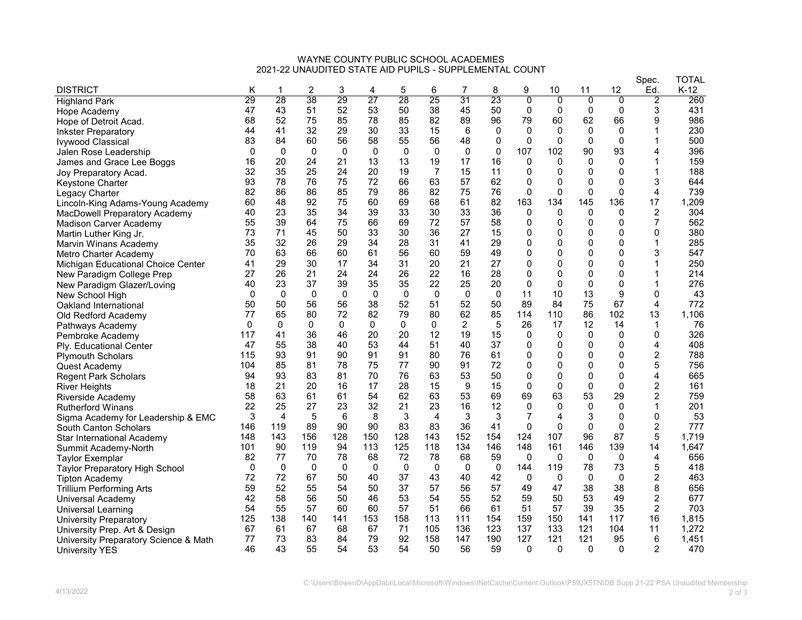## WAYNE COUNTY PUBLIC SCHOOL ACADEMIES 2021-22 UNAUDITED STATE AID PUPILS - SUPPLEMENTAL COUNT

|                                       |          |                |              |              |              |          |                |                |             |                |                |                |                | Spec.          | <b>TOTAL</b> |
|---------------------------------------|----------|----------------|--------------|--------------|--------------|----------|----------------|----------------|-------------|----------------|----------------|----------------|----------------|----------------|--------------|
| <b>DISTRICT</b>                       | Κ        |                | 2            | 3            | 4            | 5        | 6              | 7              | 8           | 9              | 10             | 11             | 12             | Ed.            | $K-12$       |
| <b>Highland Park</b>                  | 29       | 28             | 38           | 29           | 27           | 28       | 25             | 31             | 23          | $\overline{0}$ | $\overline{0}$ | $\overline{0}$ | $\overline{0}$ | $\overline{2}$ | 260          |
| Hope Academy                          | 47       | 43             | 51           | 52           | 53           | 50       | 38             | 45             | 50          | 0              | 0              | 0              | 0              | 3              | 431          |
| Hope of Detroit Acad.                 | 68       | 52             | 75           | 85           | 78           | 85       | 82             | 89             | 96          | 79             | 60             | 62             | 66             | 9              | 986          |
| <b>Inkster Preparatory</b>            | 44       | 41             | 32           | 29           | 30           | 33       | 15             | 6              | 0           | $\mathbf{0}$   | $\mathbf{0}$   | $\Omega$       | $\Omega$       | 1              | 230          |
| <b>Ivywood Classical</b>              | 83       | 84             | 60           | 56           | 58           | 55       | 56             | 48             | 0           | 0              | $\mathbf{0}$   | $\Omega$       | $\Omega$       | 1              | 500          |
| Jalen Rose Leadership                 | $\Omega$ | $\Omega$       | $\mathbf{0}$ | $\mathbf{0}$ | $\mathbf{0}$ | $\Omega$ | $\Omega$       | $\mathbf{0}$   | $\mathbf 0$ | 107            | 102            | 90             | 93             | 4              | 396          |
| James and Grace Lee Boggs             | 16       | 20             | 24           | 21           | 13           | 13       | 19             | 17             | 16          | $\Omega$       | $\Omega$       | 0              | $\Omega$       | 1              | 159          |
| Joy Preparatory Acad.                 | 32       | 35             | 25           | 24           | 20           | 19       | $\overline{7}$ | 15             | 11          | 0              | 0              | 0              | 0              | 1              | 188          |
| Keystone Charter                      | 93       | 78             | 76           | 75           | 72           | 66       | 63             | 57             | 62          | $\mathbf 0$    | 0              | $\mathbf 0$    | 0              | 3              | 644          |
| Legacy Charter                        | 82       | 86             | 86           | 85           | 79           | 86       | 82             | 75             | 76          | $\Omega$       | $\Omega$       | $\Omega$       | $\mathbf 0$    | 4              | 739          |
| Lincoln-King Adams-Young Academy      | 60       | 48             | 92           | 75           | 60           | 69       | 68             | 61             | 82          | 163            | 134            | 145            | 136            | 17             | 1,209        |
| MacDowell Preparatory Academy         | 40       | 23             | 35           | 34           | 39           | 33       | 30             | 33             | 36          | 0              | $\Omega$       | 0              | 0              | $\overline{2}$ | 304          |
| Madison Carver Academy                | 55       | 39             | 64           | 75           | 66           | 69       | 72             | 57             | 58          | 0              | 0              | 0              | $\Omega$       | $\overline{7}$ | 562          |
| Martin Luther King Jr.                | 73       | 71             | 45           | 50           | 33           | 30       | 36             | 27             | 15          | 0              | 0              | 0              | 0              | 0              | 380          |
| Marvin Winans Academy                 | 35       | 32             | 26           | 29           | 34           | 28       | 31             | 41             | 29          | 0              | 0              | 0              | 0              | 1              | 285          |
| Metro Charter Academy                 | 70       | 63             | 66           | 60           | 61           | 56       | 60             | 59             | 49          | 0              | 0              | 0              | 0              | 3              | 547          |
| Michigan Educational Choice Center    | 41       | 29             | 30           | 17           | 34           | 31       | 20             | 21             | 27          | 0              | 0              | $\mathbf 0$    | $\mathbf{0}$   | 1              | 250          |
| New Paradigm College Prep             | 27       | 26             | 21           | 24           | 24           | 26       | 22             | 16             | 28          | 0              | $\Omega$       | $\mathbf 0$    | $\mathbf{0}$   | 1              | 214          |
| New Paradigm Glazer/Loving            | 40       | 23             | 37           | 39           | 35           | 35       | 22             | 25             | 20          | $\mathbf{0}$   | $\mathbf{0}$   | 0              | $\mathbf 0$    | 1              | 276          |
| New School High                       | $\Omega$ | $\Omega$       | $\Omega$     | $\Omega$     | $\mathbf 0$  | $\Omega$ | $\mathbf{0}$   | $\Omega$       | $\mathbf 0$ | 11             | 10             | 13             | 9              | 0              | 43           |
| Oakland International                 | 50       | 50             | 56           | 56           | 38           | 52       | 51             | 52             | 50          | 89             | 84             | 75             | 67             | 4              | 772          |
| Old Redford Academy                   | 77       | 65             | 80           | 72           | 82           | 79       | 80             | 62             | 85          | 114            | 110            | 86             | 102            | 13             | 1,106        |
| Pathways Academy                      | 0        | 0              | $\mathbf{0}$ | $\Omega$     | $\Omega$     | $\Omega$ | $\mathbf{0}$   | $\overline{2}$ | 5           | 26             | 17             | 12             | 14             | 1              | 76           |
| Pembroke Academv                      | 117      | 41             | 36           | 46           | 20           | 20       | 12             | 19             | 15          | 0              | $\Omega$       | $\Omega$       | 0              | 0              | 326          |
| Ply. Educational Center               | 47       | 55             | 38           | 40           | 53           | 44       | 51             | 40             | 37          | 0              | 0              | 0              | 0              | 4              | 408          |
| <b>Plymouth Scholars</b>              | 115      | 93             | 91           | 90           | 91           | 91       | 80             | 76             | 61          | 0              | 0              | 0              | 0              | $\overline{c}$ | 788          |
| Quest Academy                         | 104      | 85             | 81           | 78           | 75           | 77       | 90             | 91             | 72          | 0              | 0              | 0              | 0              | 5              | 756          |
| <b>Regent Park Scholars</b>           | 94       | 93             | 83           | 81           | 70           | 76       | 63             | 53             | 50          | 0              | 0              | $\mathbf 0$    | $\mathbf{0}$   | 4              | 665          |
| <b>River Heights</b>                  | 18       | 21             | 20           | 16           | 17           | 28       | 15             | 9              | 15          | $\Omega$       | $\Omega$       | $\Omega$       | $\Omega$       | $\overline{c}$ | 161          |
| Riverside Academy                     | 58       | 63             | 61           | 61           | 54           | 62       | 63             | 53             | 69          | 69             | 63             | 53             | 29             | 2              | 759          |
| <b>Rutherford Winans</b>              | 22       | 25             | 27           | 23           | 32           | 21       | 23             | 16             | 12          | 0              | $\mathbf{0}$   | $\Omega$       | 0              | 1              | 201          |
| Sigma Academy for Leadership & EMC    | 3        | $\overline{4}$ | 5            | 6            | 8            | 3        | 4              | 3              | 3           | 7              | 4              | 3              | $\mathbf{0}$   | 0              | 53           |
| South Canton Scholars                 | 146      | 119            | 89           | 90           | 90           | 83       | 83             | 36             | 41          | $\Omega$       | $\Omega$       | 0              | $\mathbf 0$    | 2              | 777          |
| Star International Academv            | 148      | 143            | 156          | 128          | 150          | 128      | 143            | 152            | 154         | 124            | 107            | 96             | 87             | 5              | 1.719        |
| Summit Academy-North                  | 101      | 90             | 119          | 94           | 113          | 125      | 118            | 134            | 146         | 148            | 161            | 146            | 139            | 14             | 1,647        |
| Taylor Exemplar                       | 82       | 77             | 70           | 78           | 68           | 72       | 78             | 68             | 59          | 0              | $\mathbf{0}$   | 0              | 0              | 4              | 656          |
| <b>Taylor Preparatory High School</b> | $\Omega$ | $\mathbf{0}$   | $\mathbf{0}$ | $\Omega$     | 0            | 0        | $\mathbf{0}$   | $\mathbf{0}$   | $\mathbf 0$ | 144            | 119            | 78             | 73             | 5              | 418          |
| Tipton Academy                        | 72       | 72             | 67           | 50           | 40           | 37       | 43             | 40             | 42          | 0              | 0              | 0              | 0              | 2              | 463          |
| Trillium Performing Arts              | 59       | 52             | 55           | 54           | 50           | 37       | 57             | 56             | 57          | 49             | 47             | 38             | 38             | 8              | 656          |
| Universal Academy                     | 42       | 58             | 56           | 50           | 46           | 53       | 54             | 55             | 52          | 59             | 50             | 53             | 49             | $\overline{c}$ | 677          |
| Universal Learning                    | 54       | 55             | 57           | 60           | 60           | 57       | 51             | 66             | 61          | 51             | 57             | 39             | 35             | 2              | 703          |
| University Preparatory                | 125      | 138            | 140          | 141          | 153          | 158      | 113            | 111            | 154         | 159            | 150            | 141            | 117            | 16             | 1,815        |
| University Prep. Art & Design         | 67       | 61             | 67           | 68           | 67           | 71       | 105            | 136            | 123         | 137            | 133            | 121            | 104            | 11             | 1,272        |
| University Preparatory Science & Math | 77       | 73             | 83           | 84           | 79           | 92       | 158            | 147            | 190         | 127            | 121            | 121            | 95             | 6              | 1,451        |
| <b>University YES</b>                 | 46       | 43             | 55           | 54           | 53           | 54       | 50             | 56             | 59          | $\Omega$       | $\Omega$       | $\Omega$       | $\Omega$       | 2              | 470          |
|                                       |          |                |              |              |              |          |                |                |             |                |                |                |                |                |              |